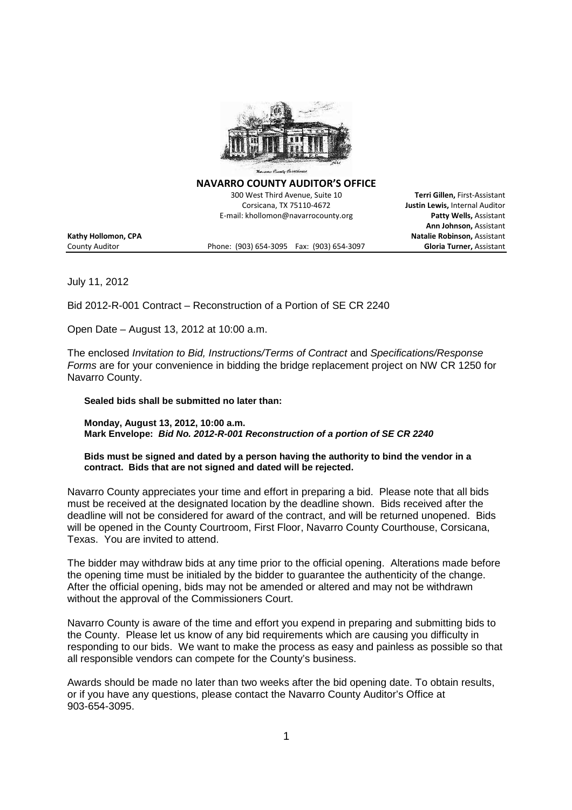

**NAVARRO COUNTY AUDITOR'S OFFICE**

300 West Third Avenue, Suite 10 **Terri Gillen,** First-Assistant Corsicana, TX 75110-4672 **Justin Lewis,** Internal Auditor E-mail: khollomon@navarrocounty.org **Patty Wells,** Assistant

**Ann Johnson,** Assistant **Kathy Hollomon, CPA Natalie Robinson,** Assistant County Auditor Phone: (903) 654-3095 Fax: (903) 654-3097 **Gloria Turner,** Assistant

July 11, 2012

Bid 2012-R-001 Contract – Reconstruction of a Portion of SE CR 2240

Open Date – August 13, 2012 at 10:00 a.m.

The enclosed *Invitation to Bid, Instructions/Terms of Contract* and *Specifications/Response Forms* are for your convenience in bidding the bridge replacement project on NW CR 1250 for Navarro County.

**Sealed bids shall be submitted no later than:**

**Monday, August 13, 2012, 10:00 a.m. Mark Envelope:** *Bid No. 2012-R-001 Reconstruction of a portion of SE CR 2240*

**Bids must be signed and dated by a person having the authority to bind the vendor in a contract. Bids that are not signed and dated will be rejected.**

Navarro County appreciates your time and effort in preparing a bid. Please note that all bids must be received at the designated location by the deadline shown. Bids received after the deadline will not be considered for award of the contract, and will be returned unopened. Bids will be opened in the County Courtroom, First Floor, Navarro County Courthouse, Corsicana, Texas. You are invited to attend.

The bidder may withdraw bids at any time prior to the official opening. Alterations made before the opening time must be initialed by the bidder to guarantee the authenticity of the change. After the official opening, bids may not be amended or altered and may not be withdrawn without the approval of the Commissioners Court.

Navarro County is aware of the time and effort you expend in preparing and submitting bids to the County. Please let us know of any bid requirements which are causing you difficulty in responding to our bids. We want to make the process as easy and painless as possible so that all responsible vendors can compete for the County's business.

Awards should be made no later than two weeks after the bid opening date. To obtain results, or if you have any questions, please contact the Navarro County Auditor's Office at 903-654-3095.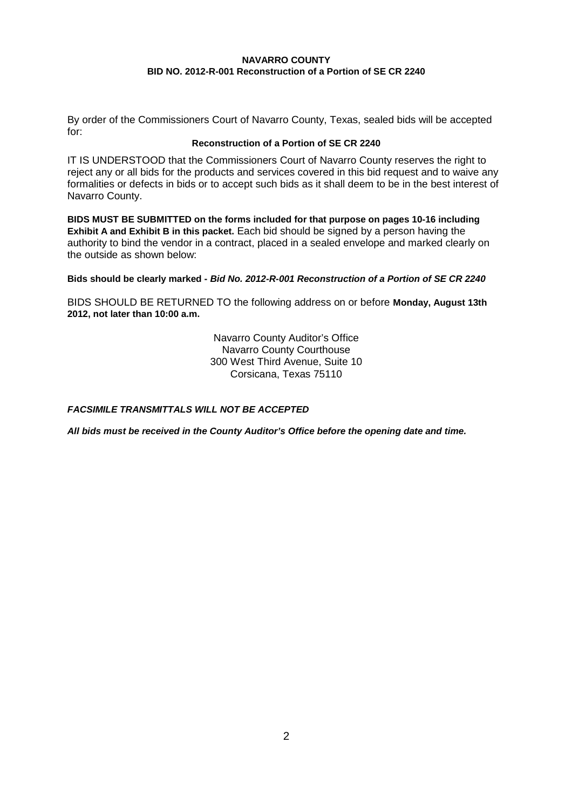By order of the Commissioners Court of Navarro County, Texas, sealed bids will be accepted for:

## **Reconstruction of a Portion of SE CR 2240**

IT IS UNDERSTOOD that the Commissioners Court of Navarro County reserves the right to reject any or all bids for the products and services covered in this bid request and to waive any formalities or defects in bids or to accept such bids as it shall deem to be in the best interest of Navarro County.

**BIDS MUST BE SUBMITTED on the forms included for that purpose on pages 10-16 including Exhibit A and Exhibit B in this packet.** Each bid should be signed by a person having the authority to bind the vendor in a contract, placed in a sealed envelope and marked clearly on the outside as shown below:

**Bids should be clearly marked -** *Bid No. 2012-R-001 Reconstruction of a Portion of SE CR 2240*

BIDS SHOULD BE RETURNED TO the following address on or before **Monday, August 13th 2012, not later than 10:00 a.m.**

> Navarro County Auditor's Office Navarro County Courthouse 300 West Third Avenue, Suite 10 Corsicana, Texas 75110

*FACSIMILE TRANSMITTALS WILL NOT BE ACCEPTED*

*All bids must be received in the County Auditor's Office before the opening date and time.*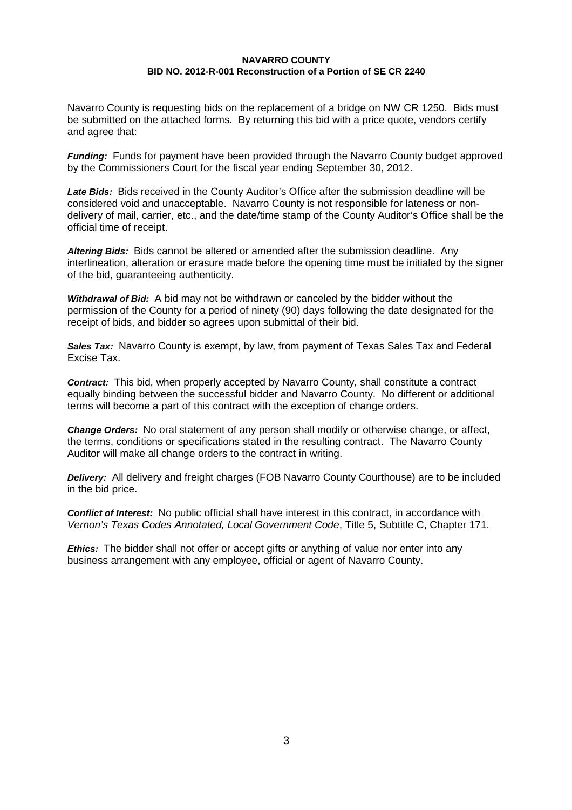Navarro County is requesting bids on the replacement of a bridge on NW CR 1250. Bids must be submitted on the attached forms. By returning this bid with a price quote, vendors certify and agree that:

*Funding:* Funds for payment have been provided through the Navarro County budget approved by the Commissioners Court for the fiscal year ending September 30, 2012.

*Late Bids:* Bids received in the County Auditor's Office after the submission deadline will be considered void and unacceptable. Navarro County is not responsible for lateness or nondelivery of mail, carrier, etc., and the date/time stamp of the County Auditor's Office shall be the official time of receipt.

*Altering Bids:* Bids cannot be altered or amended after the submission deadline. Any interlineation, alteration or erasure made before the opening time must be initialed by the signer of the bid, guaranteeing authenticity.

*Withdrawal of Bid:* A bid may not be withdrawn or canceled by the bidder without the permission of the County for a period of ninety (90) days following the date designated for the receipt of bids, and bidder so agrees upon submittal of their bid.

**Sales Tax:** Navarro County is exempt, by law, from payment of Texas Sales Tax and Federal Excise Tax.

*Contract:* This bid, when properly accepted by Navarro County, shall constitute a contract equally binding between the successful bidder and Navarro County. No different or additional terms will become a part of this contract with the exception of change orders.

*Change Orders:* No oral statement of any person shall modify or otherwise change, or affect, the terms, conditions or specifications stated in the resulting contract. The Navarro County Auditor will make all change orders to the contract in writing.

*Delivery:* All delivery and freight charges (FOB Navarro County Courthouse) are to be included in the bid price.

*Conflict of Interest:* No public official shall have interest in this contract, in accordance with *Vernon's Texas Codes Annotated, Local Government Code*, Title 5, Subtitle C, Chapter 171.

*Ethics:* The bidder shall not offer or accept gifts or anything of value nor enter into any business arrangement with any employee, official or agent of Navarro County.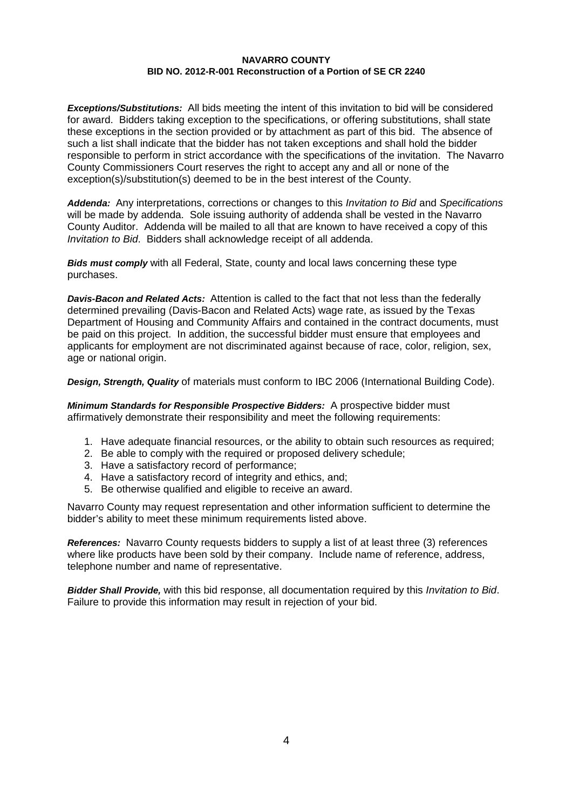*Exceptions/Substitutions:* All bids meeting the intent of this invitation to bid will be considered for award. Bidders taking exception to the specifications, or offering substitutions, shall state these exceptions in the section provided or by attachment as part of this bid. The absence of such a list shall indicate that the bidder has not taken exceptions and shall hold the bidder responsible to perform in strict accordance with the specifications of the invitation. The Navarro County Commissioners Court reserves the right to accept any and all or none of the exception(s)/substitution(s) deemed to be in the best interest of the County.

*Addenda:* Any interpretations, corrections or changes to this *Invitation to Bid* and *Specifications* will be made by addenda. Sole issuing authority of addenda shall be vested in the Navarro County Auditor. Addenda will be mailed to all that are known to have received a copy of this *Invitation to Bid*. Bidders shall acknowledge receipt of all addenda.

*Bids must comply* with all Federal, State, county and local laws concerning these type purchases.

*Davis-Bacon and Related Acts:* Attention is called to the fact that not less than the federally determined prevailing (Davis-Bacon and Related Acts) wage rate, as issued by the Texas Department of Housing and Community Affairs and contained in the contract documents, must be paid on this project. In addition, the successful bidder must ensure that employees and applicants for employment are not discriminated against because of race, color, religion, sex, age or national origin.

*Design, Strength, Quality* of materials must conform to IBC 2006 (International Building Code).

*Minimum Standards for Responsible Prospective Bidders:* A prospective bidder must affirmatively demonstrate their responsibility and meet the following requirements:

- 1. Have adequate financial resources, or the ability to obtain such resources as required;
- 2. Be able to comply with the required or proposed delivery schedule;
- 3. Have a satisfactory record of performance;
- 4. Have a satisfactory record of integrity and ethics, and;
- 5. Be otherwise qualified and eligible to receive an award.

Navarro County may request representation and other information sufficient to determine the bidder's ability to meet these minimum requirements listed above.

*References:* Navarro County requests bidders to supply a list of at least three (3) references where like products have been sold by their company. Include name of reference, address, telephone number and name of representative.

*Bidder Shall Provide,* with this bid response, all documentation required by this *Invitation to Bid*. Failure to provide this information may result in rejection of your bid.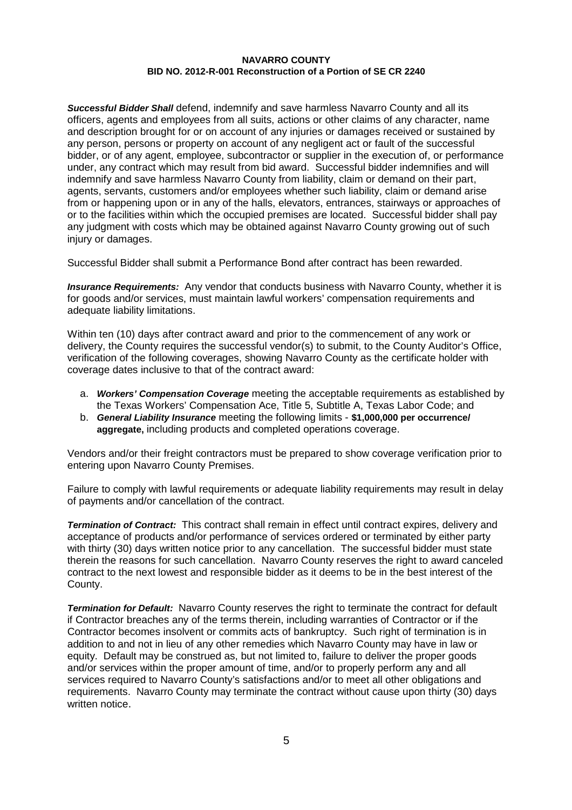*Successful Bidder Shall* defend, indemnify and save harmless Navarro County and all its officers, agents and employees from all suits, actions or other claims of any character, name and description brought for or on account of any injuries or damages received or sustained by any person, persons or property on account of any negligent act or fault of the successful bidder, or of any agent, employee, subcontractor or supplier in the execution of, or performance under, any contract which may result from bid award. Successful bidder indemnifies and will indemnify and save harmless Navarro County from liability, claim or demand on their part, agents, servants, customers and/or employees whether such liability, claim or demand arise from or happening upon or in any of the halls, elevators, entrances, stairways or approaches of or to the facilities within which the occupied premises are located. Successful bidder shall pay any judgment with costs which may be obtained against Navarro County growing out of such injury or damages.

Successful Bidder shall submit a Performance Bond after contract has been rewarded.

*Insurance Requirements:* Any vendor that conducts business with Navarro County, whether it is for goods and/or services, must maintain lawful workers' compensation requirements and adequate liability limitations.

Within ten (10) days after contract award and prior to the commencement of any work or delivery, the County requires the successful vendor(s) to submit, to the County Auditor's Office, verification of the following coverages, showing Navarro County as the certificate holder with coverage dates inclusive to that of the contract award:

- a. *Workers' Compensation Coverage* meeting the acceptable requirements as established by the Texas Workers' Compensation Ace, Title 5, Subtitle A, Texas Labor Code; and
- b. *General Liability Insurance* meeting the following limits **\$1,000,000 per occurrence/ aggregate,** including products and completed operations coverage.

Vendors and/or their freight contractors must be prepared to show coverage verification prior to entering upon Navarro County Premises.

Failure to comply with lawful requirements or adequate liability requirements may result in delay of payments and/or cancellation of the contract.

*Termination of Contract:* This contract shall remain in effect until contract expires, delivery and acceptance of products and/or performance of services ordered or terminated by either party with thirty (30) days written notice prior to any cancellation. The successful bidder must state therein the reasons for such cancellation. Navarro County reserves the right to award canceled contract to the next lowest and responsible bidder as it deems to be in the best interest of the County.

*Termination for Default:* Navarro County reserves the right to terminate the contract for default if Contractor breaches any of the terms therein, including warranties of Contractor or if the Contractor becomes insolvent or commits acts of bankruptcy. Such right of termination is in addition to and not in lieu of any other remedies which Navarro County may have in law or equity. Default may be construed as, but not limited to, failure to deliver the proper goods and/or services within the proper amount of time, and/or to properly perform any and all services required to Navarro County's satisfactions and/or to meet all other obligations and requirements. Navarro County may terminate the contract without cause upon thirty (30) days written notice.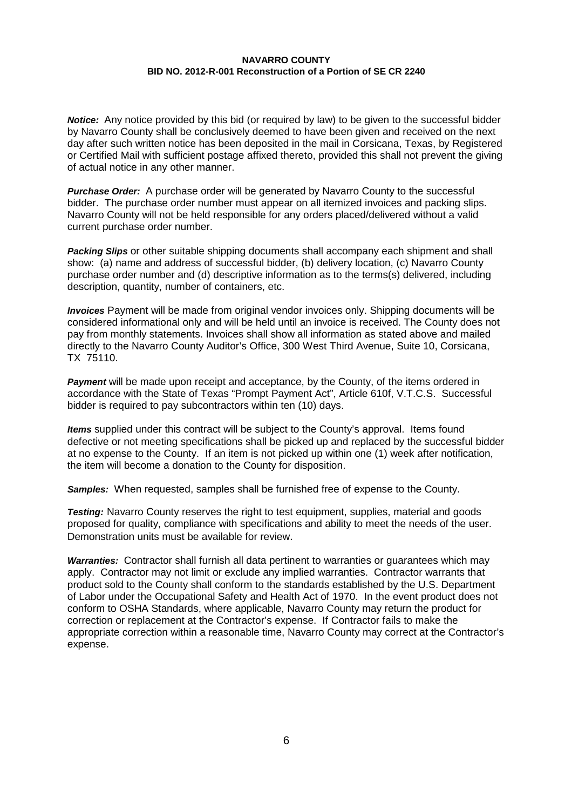*Notice:* Any notice provided by this bid (or required by law) to be given to the successful bidder by Navarro County shall be conclusively deemed to have been given and received on the next day after such written notice has been deposited in the mail in Corsicana, Texas, by Registered or Certified Mail with sufficient postage affixed thereto, provided this shall not prevent the giving of actual notice in any other manner.

*Purchase Order:* A purchase order will be generated by Navarro County to the successful bidder. The purchase order number must appear on all itemized invoices and packing slips. Navarro County will not be held responsible for any orders placed/delivered without a valid current purchase order number.

*Packing Slips* or other suitable shipping documents shall accompany each shipment and shall show: (a) name and address of successful bidder, (b) delivery location, (c) Navarro County purchase order number and (d) descriptive information as to the terms(s) delivered, including description, quantity, number of containers, etc.

*Invoices* Payment will be made from original vendor invoices only. Shipping documents will be considered informational only and will be held until an invoice is received. The County does not pay from monthly statements. Invoices shall show all information as stated above and mailed directly to the Navarro County Auditor's Office, 300 West Third Avenue, Suite 10, Corsicana, TX 75110.

*Payment* will be made upon receipt and acceptance, by the County, of the items ordered in accordance with the State of Texas "Prompt Payment Act", Article 610f, V.T.C.S. Successful bidder is required to pay subcontractors within ten (10) days.

*Items* supplied under this contract will be subject to the County's approval. Items found defective or not meeting specifications shall be picked up and replaced by the successful bidder at no expense to the County. If an item is not picked up within one (1) week after notification, the item will become a donation to the County for disposition.

*Samples:* When requested, samples shall be furnished free of expense to the County.

*Testing:* Navarro County reserves the right to test equipment, supplies, material and goods proposed for quality, compliance with specifications and ability to meet the needs of the user. Demonstration units must be available for review.

*Warranties:* Contractor shall furnish all data pertinent to warranties or guarantees which may apply. Contractor may not limit or exclude any implied warranties. Contractor warrants that product sold to the County shall conform to the standards established by the U.S. Department of Labor under the Occupational Safety and Health Act of 1970. In the event product does not conform to OSHA Standards, where applicable, Navarro County may return the product for correction or replacement at the Contractor's expense. If Contractor fails to make the appropriate correction within a reasonable time, Navarro County may correct at the Contractor's expense.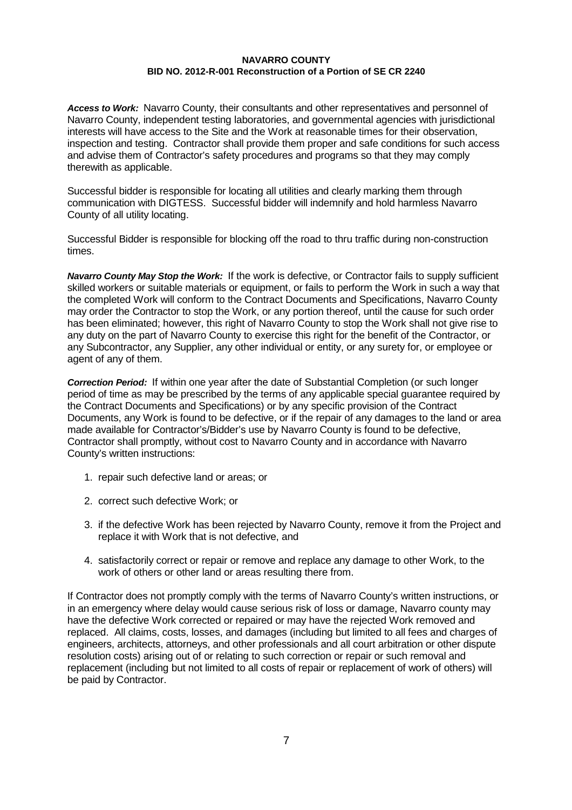*Access to Work:* Navarro County, their consultants and other representatives and personnel of Navarro County, independent testing laboratories, and governmental agencies with jurisdictional interests will have access to the Site and the Work at reasonable times for their observation, inspection and testing. Contractor shall provide them proper and safe conditions for such access and advise them of Contractor's safety procedures and programs so that they may comply therewith as applicable.

Successful bidder is responsible for locating all utilities and clearly marking them through communication with DIGTESS. Successful bidder will indemnify and hold harmless Navarro County of all utility locating.

Successful Bidder is responsible for blocking off the road to thru traffic during non-construction times.

*Navarro County May Stop the Work:* If the work is defective, or Contractor fails to supply sufficient skilled workers or suitable materials or equipment, or fails to perform the Work in such a way that the completed Work will conform to the Contract Documents and Specifications, Navarro County may order the Contractor to stop the Work, or any portion thereof, until the cause for such order has been eliminated; however, this right of Navarro County to stop the Work shall not give rise to any duty on the part of Navarro County to exercise this right for the benefit of the Contractor, or any Subcontractor, any Supplier, any other individual or entity, or any surety for, or employee or agent of any of them.

*Correction Period:* If within one year after the date of Substantial Completion (or such longer period of time as may be prescribed by the terms of any applicable special guarantee required by the Contract Documents and Specifications) or by any specific provision of the Contract Documents, any Work is found to be defective, or if the repair of any damages to the land or area made available for Contractor's/Bidder's use by Navarro County is found to be defective, Contractor shall promptly, without cost to Navarro County and in accordance with Navarro County's written instructions:

- 1. repair such defective land or areas; or
- 2. correct such defective Work; or
- 3. if the defective Work has been rejected by Navarro County, remove it from the Project and replace it with Work that is not defective, and
- 4. satisfactorily correct or repair or remove and replace any damage to other Work, to the work of others or other land or areas resulting there from.

If Contractor does not promptly comply with the terms of Navarro County's written instructions, or in an emergency where delay would cause serious risk of loss or damage, Navarro county may have the defective Work corrected or repaired or may have the rejected Work removed and replaced. All claims, costs, losses, and damages (including but limited to all fees and charges of engineers, architects, attorneys, and other professionals and all court arbitration or other dispute resolution costs) arising out of or relating to such correction or repair or such removal and replacement (including but not limited to all costs of repair or replacement of work of others) will be paid by Contractor.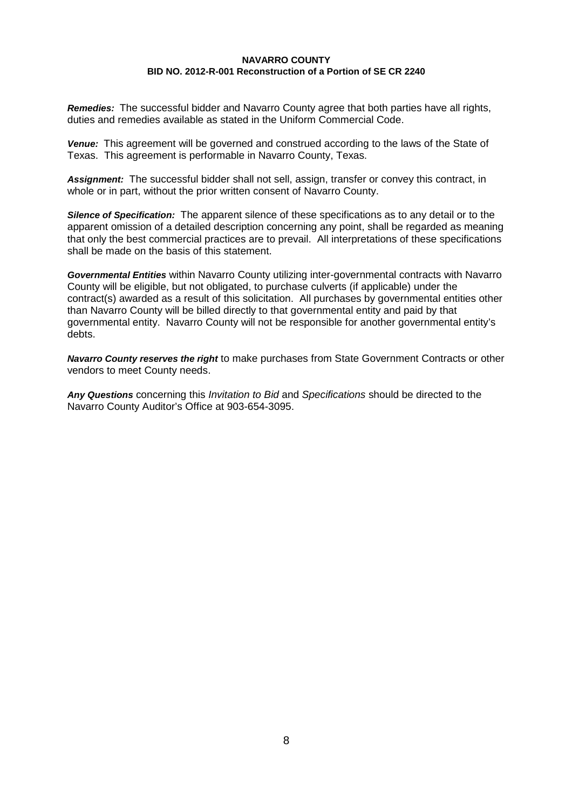*Remedies:* The successful bidder and Navarro County agree that both parties have all rights, duties and remedies available as stated in the Uniform Commercial Code.

*Venue:* This agreement will be governed and construed according to the laws of the State of Texas. This agreement is performable in Navarro County, Texas.

*Assignment:* The successful bidder shall not sell, assign, transfer or convey this contract, in whole or in part, without the prior written consent of Navarro County.

*Silence of Specification:* The apparent silence of these specifications as to any detail or to the apparent omission of a detailed description concerning any point, shall be regarded as meaning that only the best commercial practices are to prevail. All interpretations of these specifications shall be made on the basis of this statement.

*Governmental Entities* within Navarro County utilizing inter-governmental contracts with Navarro County will be eligible, but not obligated, to purchase culverts (if applicable) under the contract(s) awarded as a result of this solicitation. All purchases by governmental entities other than Navarro County will be billed directly to that governmental entity and paid by that governmental entity. Navarro County will not be responsible for another governmental entity's debts.

*Navarro County reserves the right* to make purchases from State Government Contracts or other vendors to meet County needs.

*Any Questions* concerning this *Invitation to Bid* and *Specifications* should be directed to the Navarro County Auditor's Office at 903-654-3095.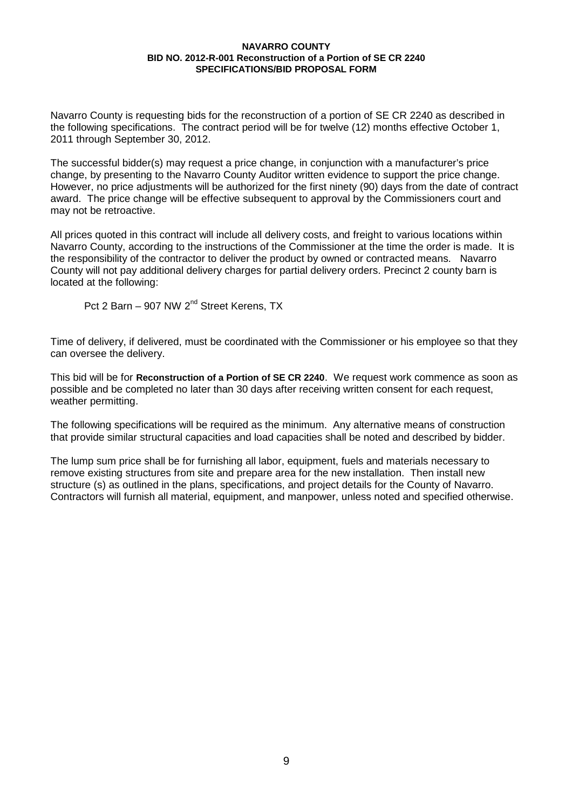Navarro County is requesting bids for the reconstruction of a portion of SE CR 2240 as described in the following specifications. The contract period will be for twelve (12) months effective October 1, 2011 through September 30, 2012.

The successful bidder(s) may request a price change, in conjunction with a manufacturer's price change, by presenting to the Navarro County Auditor written evidence to support the price change. However, no price adjustments will be authorized for the first ninety (90) days from the date of contract award. The price change will be effective subsequent to approval by the Commissioners court and may not be retroactive.

All prices quoted in this contract will include all delivery costs, and freight to various locations within Navarro County, according to the instructions of the Commissioner at the time the order is made. It is the responsibility of the contractor to deliver the product by owned or contracted means. Navarro County will not pay additional delivery charges for partial delivery orders. Precinct 2 county barn is located at the following:

Pct 2 Barn – 907 NW 2<sup>nd</sup> Street Kerens, TX

Time of delivery, if delivered, must be coordinated with the Commissioner or his employee so that they can oversee the delivery.

This bid will be for **Reconstruction of a Portion of SE CR 2240**. We request work commence as soon as possible and be completed no later than 30 days after receiving written consent for each request, weather permitting.

The following specifications will be required as the minimum. Any alternative means of construction that provide similar structural capacities and load capacities shall be noted and described by bidder.

The lump sum price shall be for furnishing all labor, equipment, fuels and materials necessary to remove existing structures from site and prepare area for the new installation. Then install new structure (s) as outlined in the plans, specifications, and project details for the County of Navarro. Contractors will furnish all material, equipment, and manpower, unless noted and specified otherwise.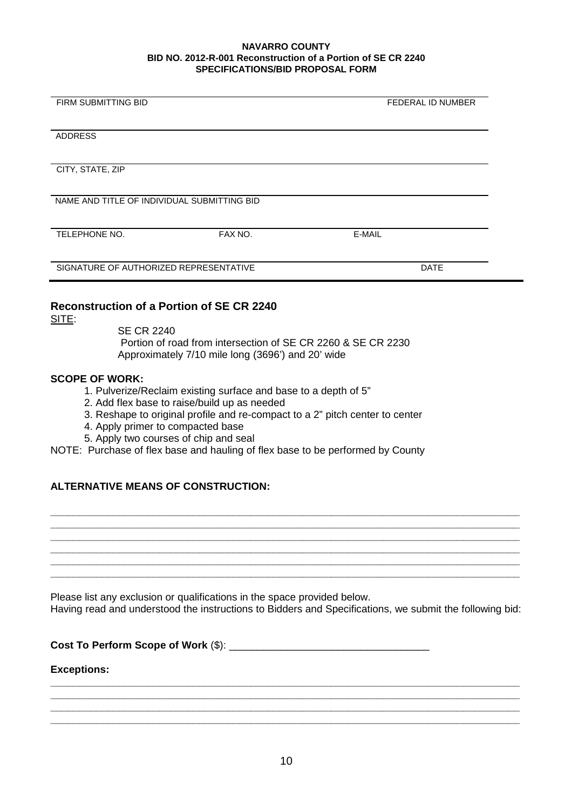| <b>FIRM SUBMITTING BID</b>                  |         | <b>FEDERAL ID NUMBER</b> |
|---------------------------------------------|---------|--------------------------|
|                                             |         |                          |
|                                             |         |                          |
| <b>ADDRESS</b>                              |         |                          |
|                                             |         |                          |
|                                             |         |                          |
| CITY, STATE, ZIP                            |         |                          |
|                                             |         |                          |
|                                             |         |                          |
| NAME AND TITLE OF INDIVIDUAL SUBMITTING BID |         |                          |
|                                             |         |                          |
|                                             |         |                          |
| TELEPHONE NO.                               | FAX NO. | E-MAIL                   |
|                                             |         |                          |
|                                             |         |                          |
| SIGNATURE OF AUTHORIZED REPRESENTATIVE      |         | <b>DATE</b>              |
|                                             |         |                          |

## **Reconstruction of a Portion of SE CR 2240**

SITE:

SE CR 2240 Portion of road from intersection of SE CR 2260 & SE CR 2230 Approximately 7/10 mile long (3696') and 20' wide

## **SCOPE OF WORK:**

- 1. Pulverize/Reclaim existing surface and base to a depth of 5"
- 2. Add flex base to raise/build up as needed
- 3. Reshape to original profile and re-compact to a 2" pitch center to center
- 4. Apply primer to compacted base
- 5. Apply two courses of chip and seal

NOTE: Purchase of flex base and hauling of flex base to be performed by County

# **ALTERNATIVE MEANS OF CONSTRUCTION:**

Please list any exclusion or qualifications in the space provided below. Having read and understood the instructions to Bidders and Specifications, we submit the following bid:

**\_\_\_\_\_\_\_\_\_\_\_\_\_\_\_\_\_\_\_\_\_\_\_\_\_\_\_\_\_\_\_\_\_\_\_\_\_\_\_\_\_\_\_\_\_\_\_\_\_\_\_\_\_\_\_\_\_\_\_\_\_\_\_\_\_\_\_\_\_\_\_\_\_\_\_\_\_\_\_\_\_\_ \_\_\_\_\_\_\_\_\_\_\_\_\_\_\_\_\_\_\_\_\_\_\_\_\_\_\_\_\_\_\_\_\_\_\_\_\_\_\_\_\_\_\_\_\_\_\_\_\_\_\_\_\_\_\_\_\_\_\_\_\_\_\_\_\_\_\_\_\_\_\_\_\_\_\_\_\_\_\_\_\_\_ \_\_\_\_\_\_\_\_\_\_\_\_\_\_\_\_\_\_\_\_\_\_\_\_\_\_\_\_\_\_\_\_\_\_\_\_\_\_\_\_\_\_\_\_\_\_\_\_\_\_\_\_\_\_\_\_\_\_\_\_\_\_\_\_\_\_\_\_\_\_\_\_\_\_\_\_\_\_\_\_\_\_ \_\_\_\_\_\_\_\_\_\_\_\_\_\_\_\_\_\_\_\_\_\_\_\_\_\_\_\_\_\_\_\_\_\_\_\_\_\_\_\_\_\_\_\_\_\_\_\_\_\_\_\_\_\_\_\_\_\_\_\_\_\_\_\_\_\_\_\_\_\_\_\_\_\_\_\_\_\_\_\_\_\_ \_\_\_\_\_\_\_\_\_\_\_\_\_\_\_\_\_\_\_\_\_\_\_\_\_\_\_\_\_\_\_\_\_\_\_\_\_\_\_\_\_\_\_\_\_\_\_\_\_\_\_\_\_\_\_\_\_\_\_\_\_\_\_\_\_\_\_\_\_\_\_\_\_\_\_\_\_\_\_\_\_\_ \_\_\_\_\_\_\_\_\_\_\_\_\_\_\_\_\_\_\_\_\_\_\_\_\_\_\_\_\_\_\_\_\_\_\_\_\_\_\_\_\_\_\_\_\_\_\_\_\_\_\_\_\_\_\_\_\_\_\_\_\_\_\_\_\_\_\_\_\_\_\_\_\_\_\_\_\_\_\_\_\_\_**

**Cost To Perform Scope of Work** (\$): \_\_\_\_\_\_\_\_\_\_\_\_\_\_\_\_\_\_\_\_\_\_\_\_\_\_\_\_\_\_\_\_\_\_\_

## **Exceptions:**

**\_\_\_\_\_\_\_\_\_\_\_\_\_\_\_\_\_\_\_\_\_\_\_\_\_\_\_\_\_\_\_\_\_\_\_\_\_\_\_\_\_\_\_\_\_\_\_\_\_\_\_\_\_\_\_\_\_\_\_\_\_\_\_\_\_\_\_\_\_\_\_\_\_\_\_\_\_\_\_\_\_\_**

**\_\_\_\_\_\_\_\_\_\_\_\_\_\_\_\_\_\_\_\_\_\_\_\_\_\_\_\_\_\_\_\_\_\_\_\_\_\_\_\_\_\_\_\_\_\_\_\_\_\_\_\_\_\_\_\_\_\_\_\_\_\_\_\_\_\_\_\_\_\_\_\_\_\_\_\_\_\_\_\_\_\_ \_\_\_\_\_\_\_\_\_\_\_\_\_\_\_\_\_\_\_\_\_\_\_\_\_\_\_\_\_\_\_\_\_\_\_\_\_\_\_\_\_\_\_\_\_\_\_\_\_\_\_\_\_\_\_\_\_\_\_\_\_\_\_\_\_\_\_\_\_\_\_\_\_\_\_\_\_\_\_\_\_\_**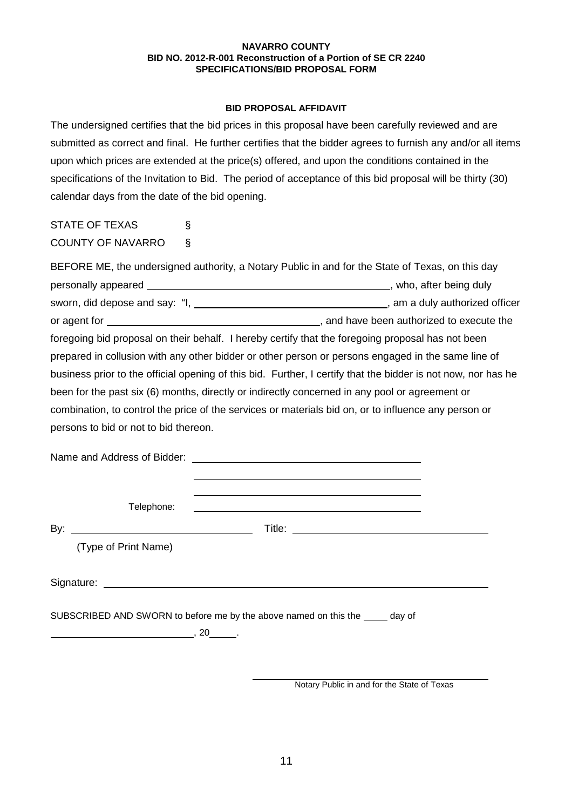## **BID PROPOSAL AFFIDAVIT**

The undersigned certifies that the bid prices in this proposal have been carefully reviewed and are submitted as correct and final. He further certifies that the bidder agrees to furnish any and/or all items upon which prices are extended at the price(s) offered, and upon the conditions contained in the specifications of the Invitation to Bid. The period of acceptance of this bid proposal will be thirty (30) calendar days from the date of the bid opening.

STATE OF TEXAS § COUNTY OF NAVARRO §

| BEFORE ME, the undersigned authority, a Notary Public in and for the State of Texas, on this day              |  |  |  |  |
|---------------------------------------------------------------------------------------------------------------|--|--|--|--|
|                                                                                                               |  |  |  |  |
|                                                                                                               |  |  |  |  |
|                                                                                                               |  |  |  |  |
| foregoing bid proposal on their behalf. I hereby certify that the foregoing proposal has not been             |  |  |  |  |
| prepared in collusion with any other bidder or other person or persons engaged in the same line of            |  |  |  |  |
| business prior to the official opening of this bid. Further, I certify that the bidder is not now, nor has he |  |  |  |  |
| been for the past six (6) months, directly or indirectly concerned in any pool or agreement or                |  |  |  |  |
| combination, to control the price of the services or materials bid on, or to influence any person or          |  |  |  |  |
| persons to bid or not to bid thereon.                                                                         |  |  |  |  |
|                                                                                                               |  |  |  |  |

Name and Address of Bidder:

Telephone:

By: Title:

(Type of Print Name)

Signature: experience of the state of the state of the state of the state of the state of the state of the state of the state of the state of the state of the state of the state of the state of the state of the state of th

SUBSCRIBED AND SWORN to before me by the above named on this the day of

 $\overline{\phantom{a}}$ , 20  $\overline{\phantom{a}}$ .

Notary Public in and for the State of Texas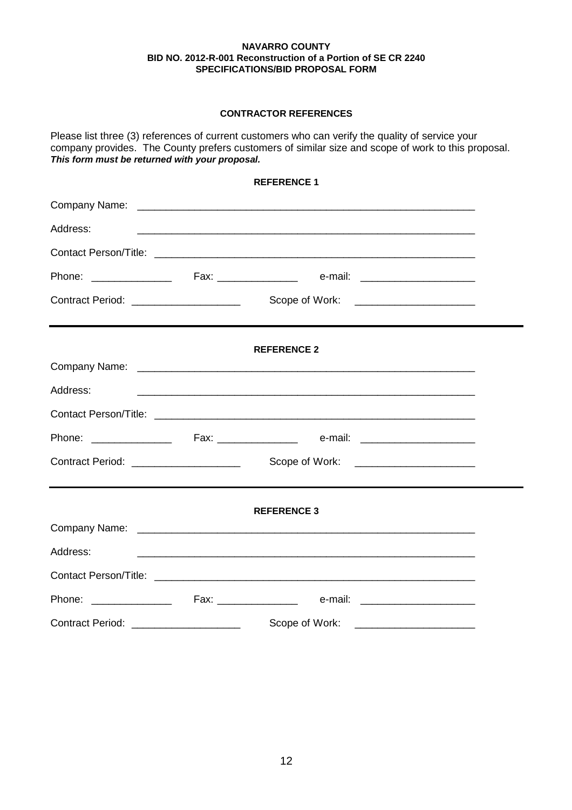## **CONTRACTOR REFERENCES**

Please list three (3) references of current customers who can verify the quality of service your company provides. The County prefers customers of similar size and scope of work to this proposal. *This form must be returned with your proposal.*

|                                       | <b>REFERENCE 1</b>                                                                                                   |  |
|---------------------------------------|----------------------------------------------------------------------------------------------------------------------|--|
|                                       |                                                                                                                      |  |
| Address:                              |                                                                                                                      |  |
|                                       |                                                                                                                      |  |
|                                       |                                                                                                                      |  |
|                                       |                                                                                                                      |  |
|                                       | <b>REFERENCE 2</b>                                                                                                   |  |
|                                       |                                                                                                                      |  |
| Address:                              | <u> 1990 - Jan James Barn, amerikan bahasa dalam bahasa dalam bahasa dalam bahasa dalam bahasa dalam bahasa dala</u> |  |
|                                       |                                                                                                                      |  |
|                                       |                                                                                                                      |  |
|                                       |                                                                                                                      |  |
|                                       | <b>REFERENCE 3</b>                                                                                                   |  |
|                                       |                                                                                                                      |  |
| Address:                              |                                                                                                                      |  |
|                                       |                                                                                                                      |  |
|                                       |                                                                                                                      |  |
| Contract Period: ____________________ |                                                                                                                      |  |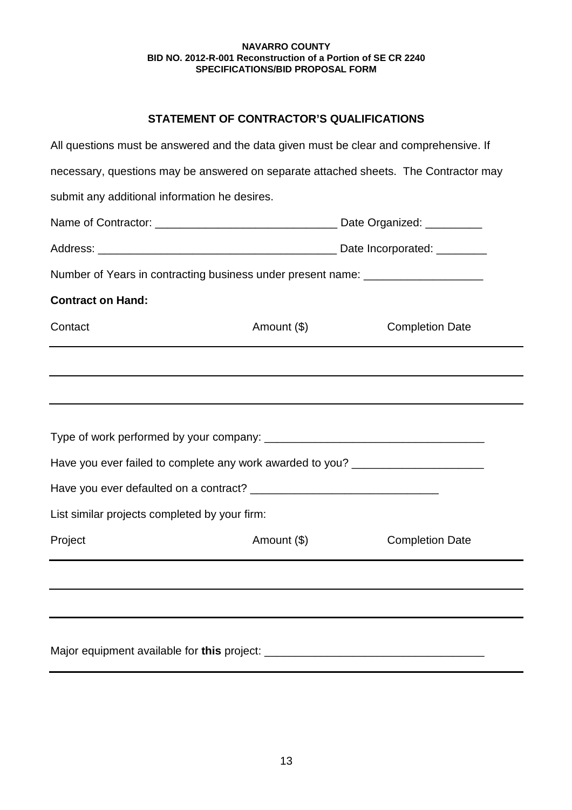# **STATEMENT OF CONTRACTOR'S QUALIFICATIONS**

| All questions must be answered and the data given must be clear and comprehensive. If |             |                        |  |
|---------------------------------------------------------------------------------------|-------------|------------------------|--|
| necessary, questions may be answered on separate attached sheets. The Contractor may  |             |                        |  |
| submit any additional information he desires.                                         |             |                        |  |
|                                                                                       |             |                        |  |
|                                                                                       |             |                        |  |
| Number of Years in contracting business under present name: ____________________      |             |                        |  |
| <b>Contract on Hand:</b>                                                              |             |                        |  |
| Contact                                                                               | Amount (\$) | <b>Completion Date</b> |  |
|                                                                                       |             |                        |  |
|                                                                                       |             |                        |  |
|                                                                                       |             |                        |  |
|                                                                                       |             |                        |  |
| Have you ever failed to complete any work awarded to you? ______________________      |             |                        |  |
|                                                                                       |             |                        |  |
| List similar projects completed by your firm:                                         |             |                        |  |
| Project                                                                               | Amount (\$) | <b>Completion Date</b> |  |
|                                                                                       |             |                        |  |
|                                                                                       |             |                        |  |
|                                                                                       |             |                        |  |
|                                                                                       |             |                        |  |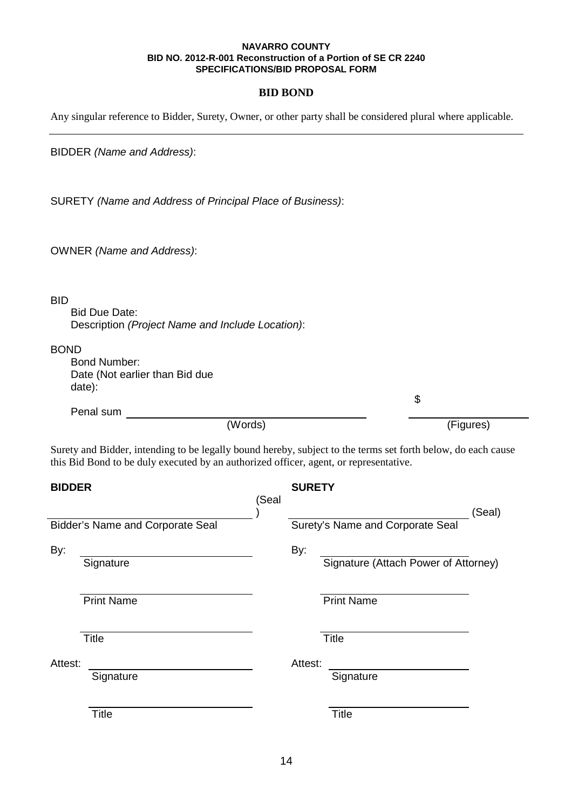## **BID BOND**

Any singular reference to Bidder, Surety, Owner, or other party shall be considered plural where applicable.

BIDDER *(Name and Address)*:

SURETY *(Name and Address of Principal Place of Business)*:

OWNER *(Name and Address)*:

## BID

Bid Due Date: Description *(Project Name and Include Location)*:

## BOND

Bond Number: Date (Not earlier than Bid due date):

Penal sum \$ (Words) (Figures)

Surety and Bidder, intending to be legally bound hereby, subject to the terms set forth below, do each cause this Bid Bond to be duly executed by an authorized officer, agent, or representative.

| <b>BIDDER</b>     |                                  |     |              |                                                                                                                                                     |
|-------------------|----------------------------------|-----|--------------|-----------------------------------------------------------------------------------------------------------------------------------------------------|
|                   | (Seal                            |     |              |                                                                                                                                                     |
|                   |                                  |     |              |                                                                                                                                                     |
| Signature         |                                  | By: |              |                                                                                                                                                     |
| <b>Print Name</b> |                                  |     |              |                                                                                                                                                     |
| <b>Title</b>      |                                  |     |              |                                                                                                                                                     |
| Attest:           |                                  |     |              |                                                                                                                                                     |
| Signature         |                                  |     | Signature    |                                                                                                                                                     |
| <b>Title</b>      |                                  |     | <b>Title</b> |                                                                                                                                                     |
|                   | Bidder's Name and Corporate Seal |     |              | <b>SURETY</b><br>(Seal)<br>Surety's Name and Corporate Seal<br>Signature (Attach Power of Attorney)<br><b>Print Name</b><br><b>Title</b><br>Attest: |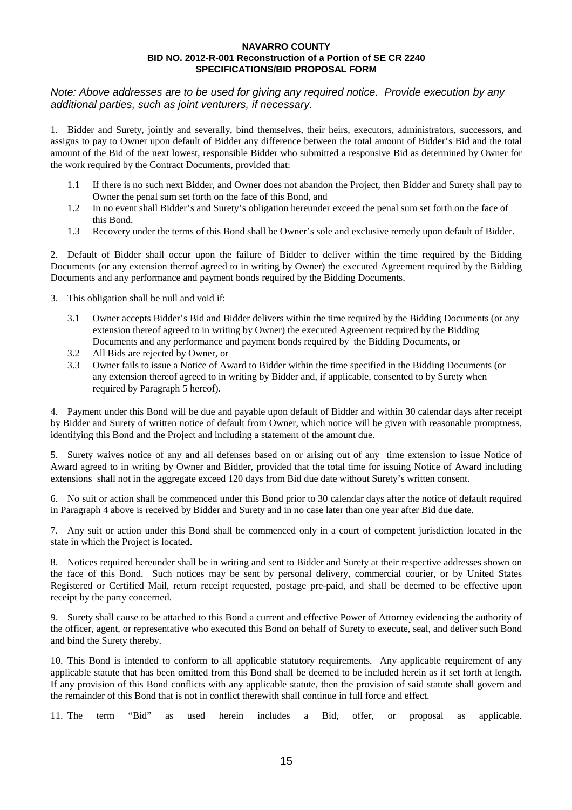## *Note: Above addresses are to be used for giving any required notice. Provide execution by any additional parties, such as joint venturers, if necessary.*

1. Bidder and Surety, jointly and severally, bind themselves, their heirs, executors, administrators, successors, and assigns to pay to Owner upon default of Bidder any difference between the total amount of Bidder's Bid and the total amount of the Bid of the next lowest, responsible Bidder who submitted a responsive Bid as determined by Owner for the work required by the Contract Documents, provided that:

- 1.1 If there is no such next Bidder, and Owner does not abandon the Project, then Bidder and Surety shall pay to Owner the penal sum set forth on the face of this Bond, and
- 1.2 In no event shall Bidder's and Surety's obligation hereunder exceed the penal sum set forth on the face of this Bond.
- 1.3 Recovery under the terms of this Bond shall be Owner's sole and exclusive remedy upon default of Bidder.

2. Default of Bidder shall occur upon the failure of Bidder to deliver within the time required by the Bidding Documents (or any extension thereof agreed to in writing by Owner) the executed Agreement required by the Bidding Documents and any performance and payment bonds required by the Bidding Documents.

- 3. This obligation shall be null and void if:
	- 3.1 Owner accepts Bidder's Bid and Bidder delivers within the time required by the Bidding Documents (or any extension thereof agreed to in writing by Owner) the executed Agreement required by the Bidding Documents and any performance and payment bonds required by the Bidding Documents, or
	- 3.2 All Bids are rejected by Owner, or
	- 3.3 Owner fails to issue a Notice of Award to Bidder within the time specified in the Bidding Documents (or any extension thereof agreed to in writing by Bidder and, if applicable, consented to by Surety when required by Paragraph 5 hereof).

4. Payment under this Bond will be due and payable upon default of Bidder and within 30 calendar days after receipt by Bidder and Surety of written notice of default from Owner, which notice will be given with reasonable promptness, identifying this Bond and the Project and including a statement of the amount due.

5. Surety waives notice of any and all defenses based on or arising out of any time extension to issue Notice of Award agreed to in writing by Owner and Bidder, provided that the total time for issuing Notice of Award including extensions shall not in the aggregate exceed 120 days from Bid due date without Surety's written consent.

6. No suit or action shall be commenced under this Bond prior to 30 calendar days after the notice of default required in Paragraph 4 above is received by Bidder and Surety and in no case later than one year after Bid due date.

7. Any suit or action under this Bond shall be commenced only in a court of competent jurisdiction located in the state in which the Project is located.

8. Notices required hereunder shall be in writing and sent to Bidder and Surety at their respective addresses shown on the face of this Bond. Such notices may be sent by personal delivery, commercial courier, or by United States Registered or Certified Mail, return receipt requested, postage pre-paid, and shall be deemed to be effective upon receipt by the party concerned.

9. Surety shall cause to be attached to this Bond a current and effective Power of Attorney evidencing the authority of the officer, agent, or representative who executed this Bond on behalf of Surety to execute, seal, and deliver such Bond and bind the Surety thereby.

10. This Bond is intended to conform to all applicable statutory requirements. Any applicable requirement of any applicable statute that has been omitted from this Bond shall be deemed to be included herein as if set forth at length. If any provision of this Bond conflicts with any applicable statute, then the provision of said statute shall govern and the remainder of this Bond that is not in conflict therewith shall continue in full force and effect.

11. The term "Bid" as used herein includes a Bid, offer, or proposal as applicable.